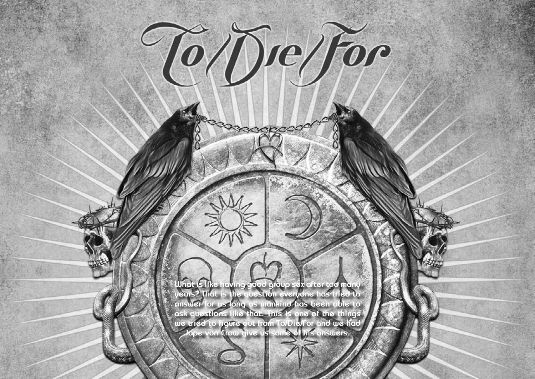Hallowed PDF-Design by Daniel Källmalm





**What is like having good group sex after too many years? That is the question everyone has tried to answer for as long as mankind has been able to ask questions like that. This is one of the things we tried to figure out from To/Die/For and we had Jape von Crow give us some of his answers.**

To Die For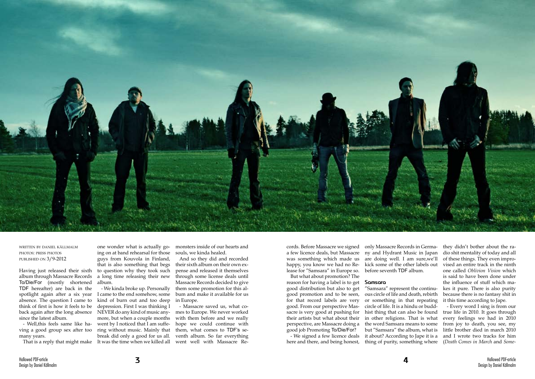

written by daniel källmalm photos: press photos published on 3/9-2012

Having just released their sixth album through Massacre Records To/Die/For (mostly shortened TDF hereafter) are back in the spotlight again after a six year absence. The question I came to think of first is how it feels to be back again after the long absence since the latest album.

- Well,this feels same like having a good group sex after too many years.

one wonder what is actually going on at band rehearsal for those guys from Kouvola in Finland, that is also something that begs to question why they took such a long time releasing their new album.

That is a reply that might make It was the time when we killed all went well with Massacre Re-- We kinda broke up. Personally I came to the end somehow, some kind of burn out and too deep depression. First I was thinking I NEVER do any kind of music anymore, but when a couple months went by I noticed that I am suffering without music. Mainly that break did only a good for us all.

monsters inside of our hearts and souls, we kinda healed.

And so they did and recorded their sixth album on their own expense and released it themselves through some license deals until Massacre Records decided to give them some promotion for this album and make it available for us in Europe.

- Massacre saved us, what comes to Europe. We never worked with them before and we really hope we could continue with them, what comes to TDF's seventh album. So far everything cords. Before Massacre we signed a few licence deals, but Massacre ny and Hydrant Music in Japan was something which made us happy, you know we had no Release for "Samsara" in Europe so.

But what about promotion? The reason for having a label is to get good distribution but also to get good promotion and to be seen, for that record labels are very good. From our perspective Massacre is very good at pushing for their artists but what about their perspective, are Massacre doing a good job Promoting To/Die/For?

- We signed a few licence deals here and there, and being honest,

only Massacre Records in Germaare doing well. I am sure,we'll kick some of the other labels out before seventh TDF album.

# **Samsara**

"Samsara" represent the continuous circle of life and death, rebirth or something in that repeating circle of life. It is a hindu or buddhist thing that can also be found in other religions. That is what the word Samsara means to some but "Samsara" the album, what is it about? According to Jape it is a thing of purity, something where they didn't bother about the radio shit mentality of today and all of these things. They even improvised an entire track in the ninth one called *Oblivion Vision* which is said to have been done under the influence of stuff which makes it pure. There is also purity because there is no fantasy shit in it this time according to Jape.

- Every word I sing is from our true life in 2010. It goes through every feelings we had in 2010 from joy to death, you see, my little brother died in march 2010 and I wrote two tracks for him (*Death Comes in March* and *Some-*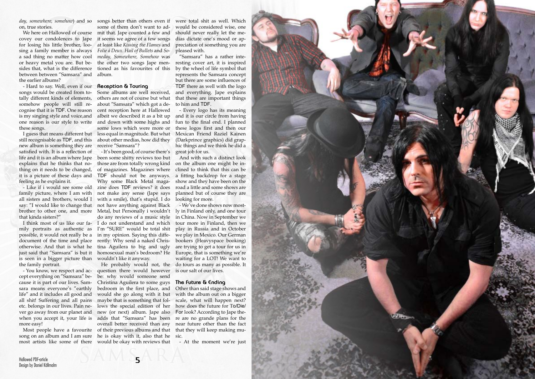

*day, somewhere, somehow*) and so on, true stories.

covey our condolences to Jape for losing his little brother, loosing a family member is always a sad thing no matter how cool or heavy metal you are. But besides that, what is the difference between between "Samsara" and the earlier albums?

- Hard to say. Well, even if our **Reception & Touring** songs would be created from totally different kinds of elements, somehow people will still recognise that it is TDF. One reason is my singing style and voice,and one reason is our style to write and down with some highs and these songs.

still recognisable as TDF, and this new album is something they are satisfied with. It is a reflection of life and it is an album where Jape explains that he thinks that nothing on it needs to be changed, it is a picture of these days and feeling as he explains it.

We here on Hallowed of course mit that. Jape counted a few and songs better than others even if some of them don't want to adit seems we agree of a few songs at least like *Kissing the Flames* and *Folie á Deux*. *Hail of Bullets* and *Someday, Somewhere, Somehow* was the other two songs Jape mentioned as his favourites of this album.

that kinda sisters?"

possible, it would not really be a in my opinion. Saying this diffedocument of the time and place rently: Why send a naked Chrisis seen in a bigger picture than wouldn't like it anyway. the family portrait.

I guess that means different but less equal in magnitude. But what Some albums are well received, others are not of course but what about "Samsara" which got a decent reception here at Hallowed albeit we described it as a bit up some lows which were more or about other medias, how did they receive "Samsara"?

cept everything on "Samsara" because it is part of our lives. Samsara means everyone's "earthly life" and it includes all good and all shit! Suffering and all pains etc. belongs in our lives. Pain never go away from our planet and when you accept it, your life is more easy!

- You know, we respect and ac- question there would however is our salt of our lives. Most people have a favourite of their previous albums and that song on an album and I am sure he is okay with it, also that he sic. He probably would not, the be: why would someone send Christina Aguilera to some guys bedroom in the first place, and would she go along with it but maybe that is something that follows the special edition of her how does the future for To/Die/ new (or next) album. Jape also adds that "Samsara" has been overall better received than any

- Like if i would see some old zine does TDF reviews? it does family picture, where I am with not make any sense (Jape says all sisters and brothers, would I with a smile), that's stupid. I do say: "I would like to change that not have anything against Black brother to other one, and more Metal, but Personally i wouldn't I think most of us like our fa-I do not understand and which mily portraits as authentic as I'm "SURE" would be total shit otherwise. And that is what he tina Aguilera to big and ugly just said that "Samsara" is but it homosexual man's bedroom? He - It's been good, of course there's been some shitty reviews too but those are from totally wrong kind of magazines. Magazines where TDF should not be anyways. Why some Black Metal magado any reviews of a music style

most artists like some of there would be okay with reviews that - At the moment we're just

were total shit as well. Which would be considered wise, one should never really let the medias dictate one's mood or appreciation of something you are pleased with.

"Samsara" has a rather interesting cover art, it is inspired by the wheel of life symbol that represents the Samsara concept but there are some influences of TDF there as well with the logo and everything. Jape explains that these are important things to him and TDF.

- Every logo has its meaning and it is our circle from having fun to the final end. I planned these logos first and then our Mexican Friend Raziel Kainen (Darkprince graphics) did graphic things and we think he did a great job for us.

And with such a distinct look on the album one might be inclined to think that this can be a fitting backdrop for a stage show and they have been on the road a little and some shows are planned but of course they are looking for more.

- We've done shows now mostly in Finland only, and one tour in China. Now in September we tour more in Finland, then we play in Russia and in October we play in Mexico. Our German bookers (Heavyspace booking) are trying to get a tour for us in Europe, that is something we're waiting for a LOT! We want to do tours as many as possible. It

## **The Future & Ending**

Other than said stage shows and with the album out on a bigger scale, what will happen next? For look? According to Jape there are no grande plans for the near future other than the fact that they will keep making mu-